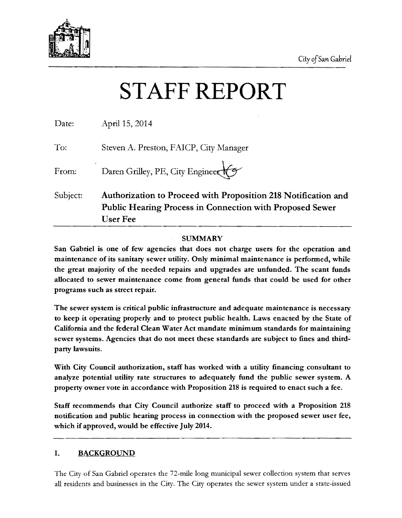

# STAFF REPORT

|          | <b>Public Hearing Process in Connection with Proposed Sewer</b><br><b>User Fee</b> |  |
|----------|------------------------------------------------------------------------------------|--|
| Subject: | Authorization to Proceed with Proposition 218 Notification and                     |  |
| From:    | Daren Grilley, PE, City Engineer                                                   |  |
| To:      | Steven A. Preston, FAICP, City Manager                                             |  |
| Date:    | April 15, 2014                                                                     |  |

#### SUMMARY

San Gabriel is one of few agencies that does not charge users for the operation and maintenance of its sanitary sewer utility. Only minimal maintenance is performed, while the great majority of the needed repairs and upgrades are unfunded. The scant funds allocated to sewer maintenance come from general funds that could be used for other programs such as street repair.

The sewer system is critical public infrastructure and adequate maintenance is necessary to keep it operating properly and to protect public health. Laws enacted by the State of California and the federal Clean Water Act mandate minimum standards for maintaining sewer systems. Agencies that do not meet these standards are subject to fines and thirdparty lawsuits.

With City Council authorization, staff has worked with a utility financing consultant to analyze potential utility rate structures to adequately fund the public sewer system. A property owner vote in accordance with Proposition 218 is required to enact such a fee.

Staff recommends that City Council authorize staff to proceed with a Proposition 218 notification and public hearing process in connection with the proposed sewer user fee, which if approved, would be effective July 2014.

#### I. BACKGROUND

The City of San Gabriel operates the 72-mile long municipal sewer collection system that serves all residents and businesses in the City. The City operates the sewer system under a state-issued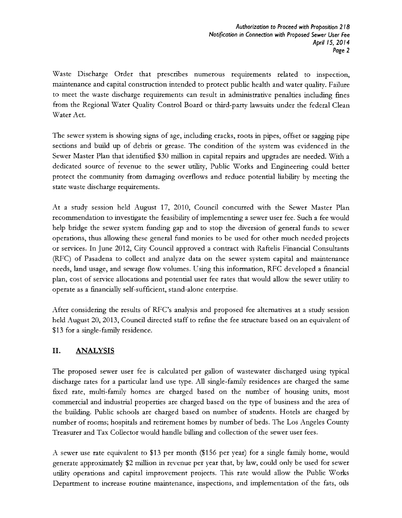Waste Discharge Order that prescribes numerous requirements related to inspection, maintenance and capital construction intended to protect public health and water quality. Failure to meet the waste discharge requirements can result in administrative penalties including fines from the Regional Water Quality Control Board or third-party lawsuits under the federal Clean Water Act.

The sewer system is showing signs of age, including cracks, roots in pipes, offset or sagging pipe sections and build up of debris or grease. The condition of the system was evidenced in the Sewer Master Plan that identified \$30 million in capital repairs and upgrades are needed. With a dedicated source of revenue to the sewer utility, Public Works and Engineering could better protect the community from damaging overflows and reduce potential liability by meeting the state waste discharge requirements.

At a study session held August 17, 2010, Council concurred with the Sewer Master Plan recommendation to investigate the feasibility of implementing a sewer user fee. Such a fee would help bridge the sewer system funding gap and to stop the diversion of general funds to sewer operations, thus allo\\IDg these general fund monies to be used for other much needed projects or services. In June 2012, City Council approved a contract with Raftelis Financial Consultants (RFC) of Pasadena to collect and analyze data on the sewer system capital and maintenance needs, land usage, and sewage flow volumes. Using this infonnation, RFC developed a financial plan, cost of service allocations and potential user fee rates that would allow the sewer utility to operate as a financially self-sufficient, stand-alone enterprise.

After considering the results of RFC's analysis and proposed fee alternatives at a study session held August 20, 2013, Council directed staff to refine the fee structure based on an equivalent of \$13 for a single-family residence.

#### II. ANALYSIS

The proposed sewer user fee is calculated per gallon of wastewater discharged using typical discharge rates for a particular land use type. All single-family residences are charged the same fixed rate, multi-family homes are charged based on the number of housing units, most commercial and industrial properties are charged based on the type of business and the area of the building. Public schools are charged based on number of students. Hotels are charged by number of rooms; hospitals and retirement homes by number of beds. The Los Angeles County Treasurer and Tax Collector would handle billing and collection of the sewer user fees.

A sewer use rate equivalent to \$13 per month (\$156 per year) for a single family home, would generate approximately \$2 million in revenue per year that, by law, could only be used for sewer utility operations and capital improvement projects. This rate would allow the Public Works Department to increase routine maintenance, inspections, and implementation of the fats, oils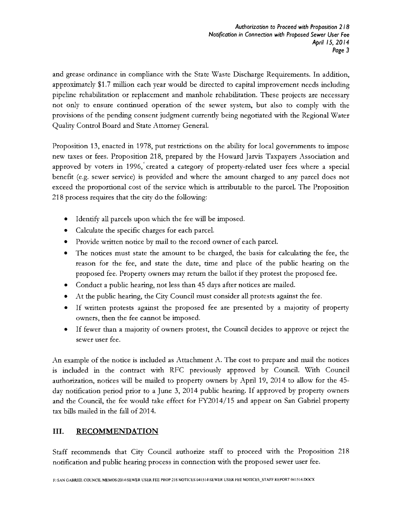and grease ordinance in compliance with the State Waste Discharge Requirements. In addition, approximately \$1.7 million each year would be directed to capital improvement needs including pipeline rehabilitation or replacement and manhole rehabilitation. These projects are necessary not only to ensure continued operation of the sewer system, but also to comply with the provisions of the pending consent judgment currently being negotiated with the Regional Water Quality Control Board and State Attorney General.

Proposition 13, enacted in 1978, put restrictions on the ability for local governments to impose new taxes or fees. Proposition 218, prepared by the Howard Jarvis Taxpayers Association and approved by voters in 1996,' created a category of property-related user fees where a special benefit (e.g. sewer service) is provided and where the amount charged to any parcel does not exceed the proportional cost of the service which is attributable to the parcel. The Proposition 218 process requires that the city do the following:

- Identify all parcels upon which the fee will be imposed.
- Calculate the specific charges for each parcel.
- Provide written notice by mail to the record owner of each parcel.
- The notices must state the amount to be charged, the basis for calculating the fee, the reason for the fee, and state the date, time and place of the public hearing on the proposed fee. Property owners may return the ballot if they protest the proposed fee.
- Conduct a public hearing, not less than 45 days after notices are mailed.
- At the public hearing, the City Council must consider all protests against the fee.
- If written protests against the proposed fee are presented by a majority of property owners, then the fee cannot be imposed.
- If fewer than a majority of owners protest, the Council decides to approve or reject the sewer user fee.

An example of the notice is included as Attachment A. The cost to prepare and mail the notices is included in the contract with RFC previously approved by Council. With Council authorization, notices will be mailed to property owners by April 19, 2014 to allow for the 45 day notification period prior to a June 3, 2014 public hearing. If approved by property owners and the Council, the fee would take effect for FY2014/15 and appear on San Gabriel property tax bills mailed in the fall of 2014.

#### **III.** RECOMMENDATION

Staff recommends that City Council authorize staff to proceed with the Proposition 218 notification and public hearing process in connection \N'ith the proposed sewer user fee.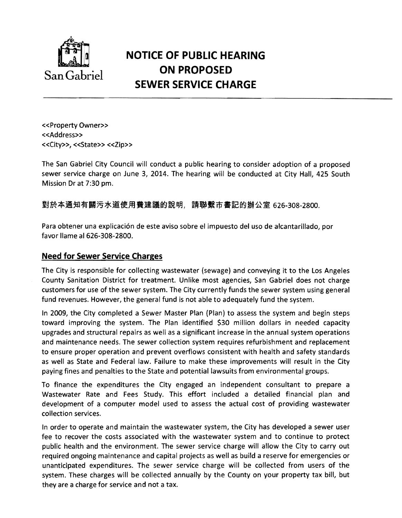

## **NOTICE OF PUBLIC HEARING**  San Gabriel **ON PROPOSED SEWER SERVICE CHARGE**

<<Property Owner>> «Address» «City», «State» «Zip»

The San Gabriel City Council will conduct a public hearing to consider adoption of a proposed sewer service charge on June 3, 2014. The hearing will be conducted at City Hall, 425 South Mission Dr at 7:30 pm.

對於本通知有關污水道使用費建議的說明,請聯繫市書記的辦公室 626-308-2800.

Para obtener una explicacion de este aviso sobre el impuesto del uso de alcantarillado, por favor Ilame al 626-308-2800.

#### **Need for Sewer Service Charges**

The City is responsible for collecting wastewater (sewage) and conveying it to the Los Angeles County Sanitation District for treatment. Unlike most agencies, San Gabriel does not charge customers for use of the sewer system. The City currently funds the sewer system using general fund revenues. However, the general fund is not able to adequately fund the system.

In 2009, the City completed a Sewer Master Plan (Plan) to assess the system and begin steps toward improving the system. The Plan identified \$30 million dollars in needed capacity upgrades and structural repairs as well as a significant increase in the annual system operations and maintenance needs. The sewer collection system requires refurbishment and replacement to ensure proper operation and prevent overflows consistent with health and safety standards as well as State and Federal law. Failure to make these improvements will result in the City paying fines and penalties to the State and potential lawsuits from environmental groups.

To finance the expenditures the City engaged an independent consultant to prepare a Wastewater Rate and Fees Study. This effort included a detailed financial plan and development of a computer model used to assess the actual cost of providing wastewater collection services.

In order to operate and maintain the wastewater system, the City has developed a sewer user fee to recover the costs associated with the wastewater system and to continue to protect public health and the environment. The sewer service charge will allow the City to carry out required ongoing maintenance and capital projects as well as build a reserve for emergencies or unanticipated expenditures. The sewer service charge will be collected from users of the system. These charges will be collected annually by the County on your property tax bill, but they are a charge for service and not a tax.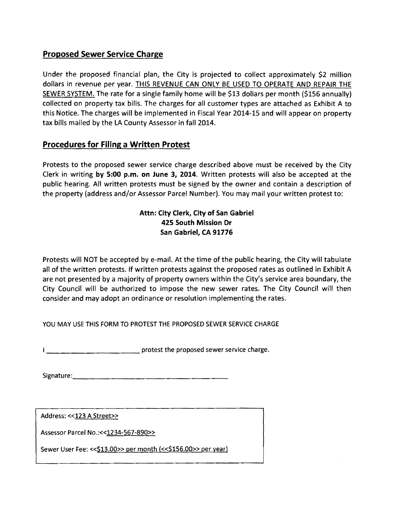### Proposed Sewer Service Charge

Under the proposed financial plan, the City is projected to collect approximately \$2 million dollars in revenue per year. THIS REVENUE CAN ONLY BE USED TO OPERATE AND REPAIR THE SEWER SYSTEM. The rate for a single family home will be \$13 dollars per month (\$156 annually) collected on property tax bills. The charges for all customer types are attached as Exhibit A to this Notice. The charges will be implemented in Fiscal Year 2014-15 and will appear on property tax bills mailed by the LA County Assessor in fall 2014.

#### Procedures for Filing a Written Protest

Protests to the proposed sewer service charge described above must be received by the City Clerk in writing by 5:00 p.m. on June 3, 2014. Written protests will also be accepted at the public hearing. All written protests must be signed by the owner and contain a description of the property (address and/or Assessor Parcel Number). You may mail your written protest to:

#### Attn: City Clerk, City of San Gabriel 425 South Mission Dr San Gabriel, CA 91776

Protests will NOT be accepted by e-mail. At the time of the public hearing, the City will tabulate all of the written protests. If written protests against the proposed rates as outlined in Exhibit A are not presented by a majority of property owners within the City's service area boundary, the City Council will be authorized to impose the new sewer rates. The City Council will then consider and may adopt an ordinance or resolution implementing the rates.

YOU MAY USE THIS FORM TO PROTEST THE PROPOSED SEWER SERVICE CHARGE

\_\_\_\_\_\_\_\_\_\_protest the proposed sewer service charge.

Signature:\_\_\_\_\_\_\_\_\_\_\_\_\_\_\_\_\_

Address: << 123 A Street>>

Assessor Parcel No.:<< 1234-567-890>>

Sewer User Fee: << \$13.00 >> per month (<< \$156.00 >> per year)